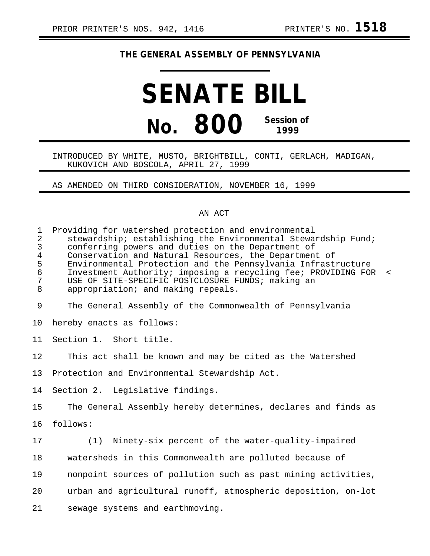## **THE GENERAL ASSEMBLY OF PENNSYLVANIA**

## **SENATE BILL No. 800 Session of 1999**

## INTRODUCED BY WHITE, MUSTO, BRIGHTBILL, CONTI, GERLACH, MADIGAN, KUKOVICH AND BOSCOLA, APRIL 27, 1999

AS AMENDED ON THIRD CONSIDERATION, NOVEMBER 16, 1999

## AN ACT

| $\mathbf{1}$<br>$\overline{2}$<br>$\mathsf{3}$<br>4<br>5<br>$\epsilon$<br>7<br>8 | Providing for watershed protection and environmental<br>stewardship; establishing the Environmental Stewardship Fund;<br>conferring powers and duties on the Department of<br>Conservation and Natural Resources, the Department of<br>Environmental Protection and the Pennsylvania Infrastructure<br>Investment Authority; imposing a recycling fee; PROVIDING FOR<br>$\prec$<br>USE OF SITE-SPECIFIC POSTCLOSURE FUNDS; making an<br>appropriation; and making repeals. |
|----------------------------------------------------------------------------------|----------------------------------------------------------------------------------------------------------------------------------------------------------------------------------------------------------------------------------------------------------------------------------------------------------------------------------------------------------------------------------------------------------------------------------------------------------------------------|
| 9                                                                                | The General Assembly of the Commonwealth of Pennsylvania                                                                                                                                                                                                                                                                                                                                                                                                                   |
| 10                                                                               | hereby enacts as follows:                                                                                                                                                                                                                                                                                                                                                                                                                                                  |
| 11                                                                               | Section 1. Short title.                                                                                                                                                                                                                                                                                                                                                                                                                                                    |
| 12                                                                               | This act shall be known and may be cited as the Watershed                                                                                                                                                                                                                                                                                                                                                                                                                  |
| 13                                                                               | Protection and Environmental Stewardship Act.                                                                                                                                                                                                                                                                                                                                                                                                                              |
| 14                                                                               | Section 2. Legislative findings.                                                                                                                                                                                                                                                                                                                                                                                                                                           |
| 15                                                                               | The General Assembly hereby determines, declares and finds as                                                                                                                                                                                                                                                                                                                                                                                                              |
| 16                                                                               | follows:                                                                                                                                                                                                                                                                                                                                                                                                                                                                   |
| 17                                                                               | (1)<br>Ninety-six percent of the water-quality-impaired                                                                                                                                                                                                                                                                                                                                                                                                                    |
| 18                                                                               | watersheds in this Commonwealth are polluted because of                                                                                                                                                                                                                                                                                                                                                                                                                    |
| 19                                                                               | nonpoint sources of pollution such as past mining activities,                                                                                                                                                                                                                                                                                                                                                                                                              |
| 20                                                                               | urban and agricultural runoff, atmospheric deposition, on-lot                                                                                                                                                                                                                                                                                                                                                                                                              |
| 21                                                                               | sewage systems and earthmoving.                                                                                                                                                                                                                                                                                                                                                                                                                                            |
|                                                                                  |                                                                                                                                                                                                                                                                                                                                                                                                                                                                            |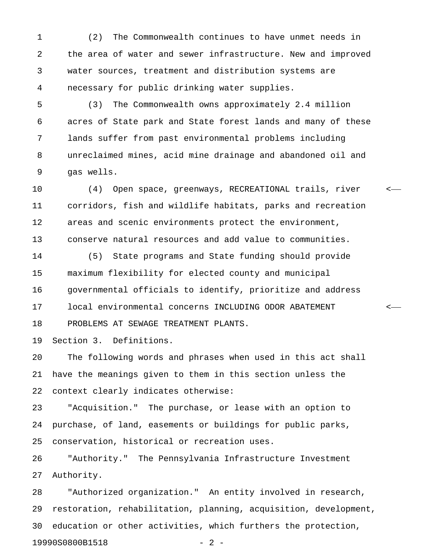1 (2) The Commonwealth continues to have unmet needs in 2 the area of water and sewer infrastructure. New and improved 3 water sources, treatment and distribution systems are 4 necessary for public drinking water supplies.

5 (3) The Commonwealth owns approximately 2.4 million 6 acres of State park and State forest lands and many of these 7 lands suffer from past environmental problems including 8 unreclaimed mines, acid mine drainage and abandoned oil and 9 gas wells.

10 (4) Open space, greenways, RECREATIONAL trails, river < 11 corridors, fish and wildlife habitats, parks and recreation 12 areas and scenic environments protect the environment, 13 conserve natural resources and add value to communities.

14 (5) State programs and State funding should provide 15 maximum flexibility for elected county and municipal 16 governmental officials to identify, prioritize and address 17 local environmental concerns INCLUDING ODOR ABATEMENT < 18 PROBLEMS AT SEWAGE TREATMENT PLANTS.

19 Section 3. Definitions.

20 The following words and phrases when used in this act shall 21 have the meanings given to them in this section unless the 22 context clearly indicates otherwise:

23 "Acquisition." The purchase, or lease with an option to 24 purchase, of land, easements or buildings for public parks, 25 conservation, historical or recreation uses.

26 "Authority." The Pennsylvania Infrastructure Investment 27 Authority.

28 "Authorized organization." An entity involved in research, 29 restoration, rehabilitation, planning, acquisition, development, 30 education or other activities, which furthers the protection, 19990S0800B1518 - 2 -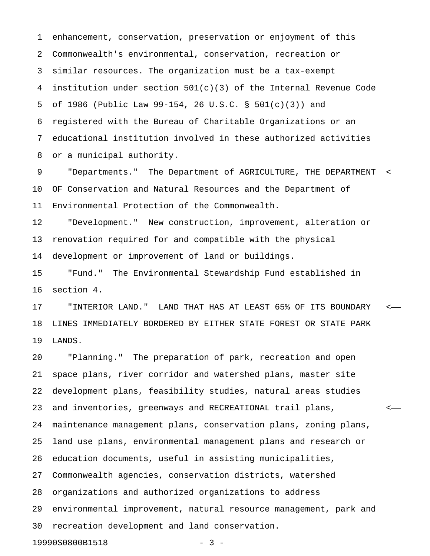1 enhancement, conservation, preservation or enjoyment of this 2 Commonwealth's environmental, conservation, recreation or 3 similar resources. The organization must be a tax-exempt 4 institution under section 501(c)(3) of the Internal Revenue Code 5 of 1986 (Public Law 99-154, 26 U.S.C. § 501(c)(3)) and 6 registered with the Bureau of Charitable Organizations or an 7 educational institution involved in these authorized activities 8 or a municipal authority.

9 "Departments." The Department of AGRICULTURE, THE DEPARTMENT < 10 OF Conservation and Natural Resources and the Department of 11 Environmental Protection of the Commonwealth.

12 "Development." New construction, improvement, alteration or 13 renovation required for and compatible with the physical 14 development or improvement of land or buildings.

15 "Fund." The Environmental Stewardship Fund established in 16 section 4.

17 "INTERIOR LAND." LAND THAT HAS AT LEAST 65% OF ITS BOUNDARY < 18 LINES IMMEDIATELY BORDERED BY EITHER STATE FOREST OR STATE PARK 19 LANDS.

20 "Planning." The preparation of park, recreation and open 21 space plans, river corridor and watershed plans, master site 22 development plans, feasibility studies, natural areas studies 23 and inventories, greenways and RECREATIONAL trail plans, < 24 maintenance management plans, conservation plans, zoning plans, 25 land use plans, environmental management plans and research or 26 education documents, useful in assisting municipalities, 27 Commonwealth agencies, conservation districts, watershed 28 organizations and authorized organizations to address 29 environmental improvement, natural resource management, park and 30 recreation development and land conservation.

19990S0800B1518 - 3 -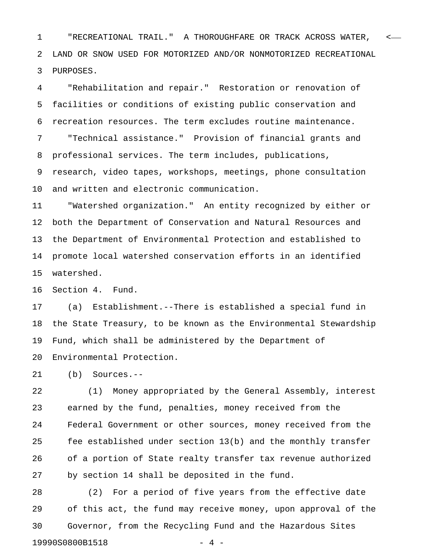1 "RECREATIONAL TRAIL." A THOROUGHFARE OR TRACK ACROSS WATER, < 2 LAND OR SNOW USED FOR MOTORIZED AND/OR NONMOTORIZED RECREATIONAL 3 PURPOSES.

4 "Rehabilitation and repair." Restoration or renovation of 5 facilities or conditions of existing public conservation and 6 recreation resources. The term excludes routine maintenance.

7 "Technical assistance." Provision of financial grants and 8 professional services. The term includes, publications,

9 research, video tapes, workshops, meetings, phone consultation 10 and written and electronic communication.

11 "Watershed organization." An entity recognized by either or 12 both the Department of Conservation and Natural Resources and 13 the Department of Environmental Protection and established to 14 promote local watershed conservation efforts in an identified 15 watershed.

16 Section 4. Fund.

17 (a) Establishment.--There is established a special fund in 18 the State Treasury, to be known as the Environmental Stewardship 19 Fund, which shall be administered by the Department of 20 Environmental Protection.

21 (b) Sources.--

22 (1) Money appropriated by the General Assembly, interest 23 earned by the fund, penalties, money received from the 24 Federal Government or other sources, money received from the 25 fee established under section 13(b) and the monthly transfer 26 of a portion of State realty transfer tax revenue authorized 27 by section 14 shall be deposited in the fund.

28 (2) For a period of five years from the effective date 29 of this act, the fund may receive money, upon approval of the 30 Governor, from the Recycling Fund and the Hazardous Sites 19990S0800B1518 - 4 -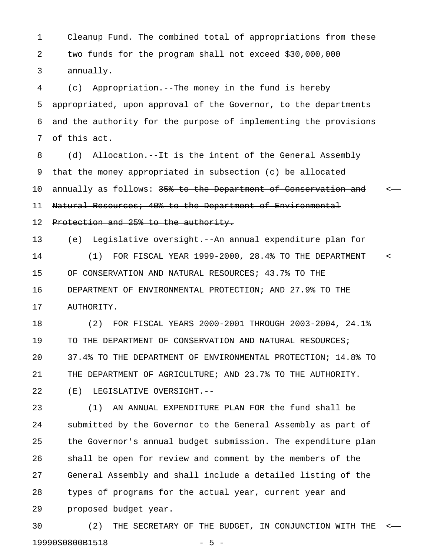1 Cleanup Fund. The combined total of appropriations from these 2 two funds for the program shall not exceed \$30,000,000 3 annually.

4 (c) Appropriation.--The money in the fund is hereby 5 appropriated, upon approval of the Governor, to the departments 6 and the authority for the purpose of implementing the provisions 7 of this act.

8 (d) Allocation.--It is the intent of the General Assembly 9 that the money appropriated in subsection (c) be allocated 10 annually as follows: 35% to the Department of Conservation and  $\sim$ 11 Natural Resources; 40% to the Department of Environmental

12 Protection and 25% to the authority.

13 (e) Legislative oversight. An annual expenditure plan for 14 (1) FOR FISCAL YEAR 1999-2000, 28.4% TO THE DEPARTMENT < 15 OF CONSERVATION AND NATURAL RESOURCES; 43.7% TO THE 16 DEPARTMENT OF ENVIRONMENTAL PROTECTION; AND 27.9% TO THE 17 AUTHORITY.

18 (2) FOR FISCAL YEARS 2000-2001 THROUGH 2003-2004, 24.1% 19 TO THE DEPARTMENT OF CONSERVATION AND NATURAL RESOURCES; 20 37.4% TO THE DEPARTMENT OF ENVIRONMENTAL PROTECTION; 14.8% TO 21 THE DEPARTMENT OF AGRICULTURE; AND 23.7% TO THE AUTHORITY. 22 (E) LEGISLATIVE OVERSIGHT.--

23 (1) AN ANNUAL EXPENDITURE PLAN FOR the fund shall be 24 submitted by the Governor to the General Assembly as part of 25 the Governor's annual budget submission. The expenditure plan 26 shall be open for review and comment by the members of the 27 General Assembly and shall include a detailed listing of the 28 types of programs for the actual year, current year and 29 proposed budget year.

30 (2) THE SECRETARY OF THE BUDGET, IN CONJUNCTION WITH THE < 19990S0800B1518 - 5 -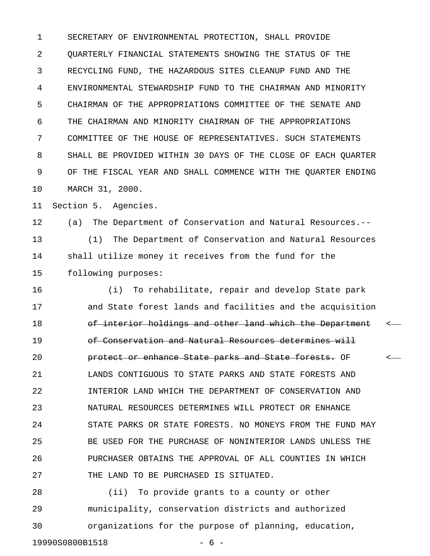1 SECRETARY OF ENVIRONMENTAL PROTECTION, SHALL PROVIDE 2 QUARTERLY FINANCIAL STATEMENTS SHOWING THE STATUS OF THE 3 RECYCLING FUND, THE HAZARDOUS SITES CLEANUP FUND AND THE 4 ENVIRONMENTAL STEWARDSHIP FUND TO THE CHAIRMAN AND MINORITY 5 CHAIRMAN OF THE APPROPRIATIONS COMMITTEE OF THE SENATE AND 6 THE CHAIRMAN AND MINORITY CHAIRMAN OF THE APPROPRIATIONS 7 COMMITTEE OF THE HOUSE OF REPRESENTATIVES. SUCH STATEMENTS 8 SHALL BE PROVIDED WITHIN 30 DAYS OF THE CLOSE OF EACH QUARTER 9 OF THE FISCAL YEAR AND SHALL COMMENCE WITH THE QUARTER ENDING 10 MARCH 31, 2000.

11 Section 5. Agencies.

12 (a) The Department of Conservation and Natural Resources.-- 13 (1) The Department of Conservation and Natural Resources 14 shall utilize money it receives from the fund for the 15 following purposes:

16 (i) To rehabilitate, repair and develop State park 17 and State forest lands and facilities and the acquisition 18 of interior holdings and other land which the Department <-19 of Conservation and Natural Resources determines will 20 **brotect or enhance State parks and State forests.** OF  $\sim$ 21 LANDS CONTIGUOUS TO STATE PARKS AND STATE FORESTS AND 22 INTERIOR LAND WHICH THE DEPARTMENT OF CONSERVATION AND 23 NATURAL RESOURCES DETERMINES WILL PROTECT OR ENHANCE 24 STATE PARKS OR STATE FORESTS. NO MONEYS FROM THE FUND MAY 25 BE USED FOR THE PURCHASE OF NONINTERIOR LANDS UNLESS THE 26 PURCHASER OBTAINS THE APPROVAL OF ALL COUNTIES IN WHICH 27 THE LAND TO BE PURCHASED IS SITUATED.

28 (ii) To provide grants to a county or other 29 municipality, conservation districts and authorized 30 organizations for the purpose of planning, education, 19990S0800B1518 - 6 -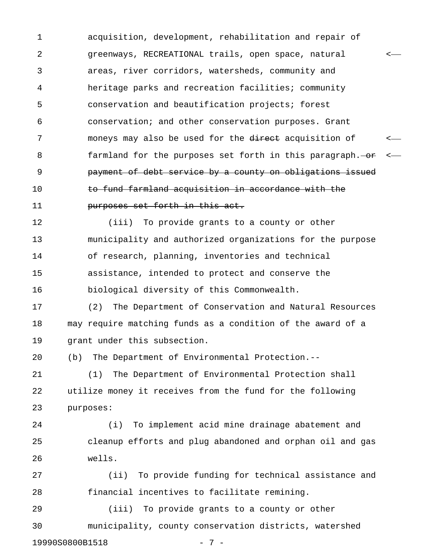1 acquisition, development, rehabilitation and repair of 2 greenways, RECREATIONAL trails, open space, natural < 3 areas, river corridors, watersheds, community and 4 heritage parks and recreation facilities; community 5 conservation and beautification projects; forest 6 conservation; and other conservation purposes. Grant 7 moneys may also be used for the direct acquisition of  $\sim$ 8 farmland for the purposes set forth in this paragraph. 9 payment of debt service by a county on obligations issued 10 **to fund farmland acquisition in accordance with the** 11 **purposes set forth in this act.** 

12 (iii) To provide grants to a county or other 13 municipality and authorized organizations for the purpose 14 of research, planning, inventories and technical 15 assistance, intended to protect and conserve the 16 biological diversity of this Commonwealth.

17 (2) The Department of Conservation and Natural Resources 18 may require matching funds as a condition of the award of a 19 grant under this subsection.

20 (b) The Department of Environmental Protection.--

21 (1) The Department of Environmental Protection shall 22 utilize money it receives from the fund for the following 23 purposes:

24 (i) To implement acid mine drainage abatement and 25 cleanup efforts and plug abandoned and orphan oil and gas 26 wells.

27 (ii) To provide funding for technical assistance and 28 financial incentives to facilitate remining.

29 (iii) To provide grants to a county or other 30 municipality, county conservation districts, watershed 19990S0800B1518 - 7 -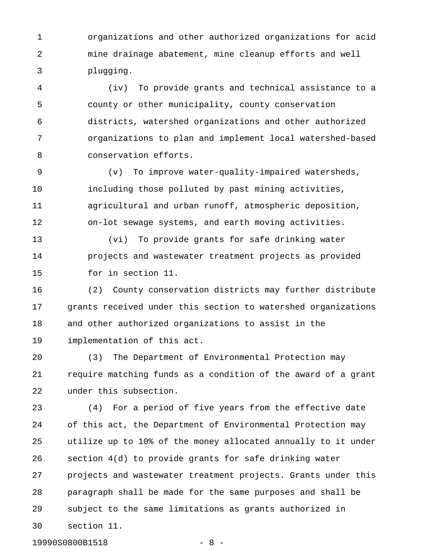1 organizations and other authorized organizations for acid 2 mine drainage abatement, mine cleanup efforts and well 3 plugging.

4 (iv) To provide grants and technical assistance to a 5 county or other municipality, county conservation 6 districts, watershed organizations and other authorized 7 organizations to plan and implement local watershed-based 8 conservation efforts.

9 (v) To improve water-quality-impaired watersheds, 10 including those polluted by past mining activities, 11 agricultural and urban runoff, atmospheric deposition, 12 on-lot sewage systems, and earth moving activities.

13 (vi) To provide grants for safe drinking water 14 projects and wastewater treatment projects as provided 15 for in section 11.

16 (2) County conservation districts may further distribute 17 grants received under this section to watershed organizations 18 and other authorized organizations to assist in the 19 implementation of this act.

20 (3) The Department of Environmental Protection may 21 require matching funds as a condition of the award of a grant 22 under this subsection.

23 (4) For a period of five years from the effective date 24 of this act, the Department of Environmental Protection may 25 utilize up to 10% of the money allocated annually to it under 26 section 4(d) to provide grants for safe drinking water 27 projects and wastewater treatment projects. Grants under this 28 paragraph shall be made for the same purposes and shall be 29 subject to the same limitations as grants authorized in 30 section 11.

19990S0800B1518 - 8 -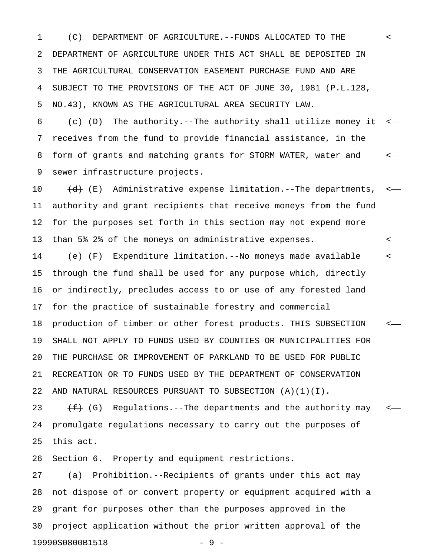1 (C) DEPARTMENT OF AGRICULTURE.--FUNDS ALLOCATED TO THE < 2 DEPARTMENT OF AGRICULTURE UNDER THIS ACT SHALL BE DEPOSITED IN 3 THE AGRICULTURAL CONSERVATION EASEMENT PURCHASE FUND AND ARE 4 SUBJECT TO THE PROVISIONS OF THE ACT OF JUNE 30, 1981 (P.L.128, 5 NO.43), KNOWN AS THE AGRICULTURAL AREA SECURITY LAW.

6  $\leftarrow$  (D) The authority.--The authority shall utilize money it  $\leftarrow$ 7 receives from the fund to provide financial assistance, in the 8 form of grants and matching grants for STORM WATER, water and < 9 sewer infrastructure projects.

10  $(d)$  (E) Administrative expense limitation.--The departments, <-11 authority and grant recipients that receive moneys from the fund 12 for the purposes set forth in this section may not expend more 13 than 5% 2% of the moneys on administrative expenses. <

14  $\leftarrow$  (F) Expenditure limitation.--No moneys made available  $\leftarrow$ 15 through the fund shall be used for any purpose which, directly 16 or indirectly, precludes access to or use of any forested land 17 for the practice of sustainable forestry and commercial

18 production of timber or other forest products. THIS SUBSECTION < 19 SHALL NOT APPLY TO FUNDS USED BY COUNTIES OR MUNICIPALITIES FOR 20 THE PURCHASE OR IMPROVEMENT OF PARKLAND TO BE USED FOR PUBLIC 21 RECREATION OR TO FUNDS USED BY THE DEPARTMENT OF CONSERVATION 22 AND NATURAL RESOURCES PURSUANT TO SUBSECTION (A)(1)(I).

23  $\leftarrow$  (G) Regulations.--The departments and the authority may  $\leftarrow$ 24 promulgate regulations necessary to carry out the purposes of 25 this act.

26 Section 6. Property and equipment restrictions.

27 (a) Prohibition.--Recipients of grants under this act may 28 not dispose of or convert property or equipment acquired with a 29 grant for purposes other than the purposes approved in the 30 project application without the prior written approval of the 19990S0800B1518 - 9 -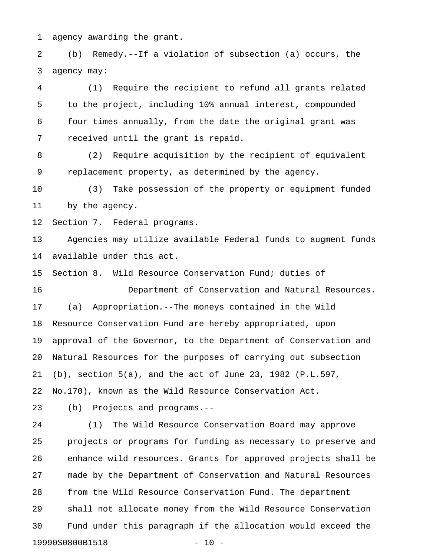1 agency awarding the grant.

2 (b) Remedy.--If a violation of subsection (a) occurs, the 3 agency may:

4 (1) Require the recipient to refund all grants related 5 to the project, including 10% annual interest, compounded 6 four times annually, from the date the original grant was 7 received until the grant is repaid.

8 (2) Require acquisition by the recipient of equivalent 9 replacement property, as determined by the agency.

10 (3) Take possession of the property or equipment funded 11 by the agency.

12 Section 7. Federal programs.

13 Agencies may utilize available Federal funds to augment funds 14 available under this act.

15 Section 8. Wild Resource Conservation Fund; duties of

16 Department of Conservation and Natural Resources. 17 (a) Appropriation.--The moneys contained in the Wild 18 Resource Conservation Fund are hereby appropriated, upon 19 approval of the Governor, to the Department of Conservation and 20 Natural Resources for the purposes of carrying out subsection 21 (b), section 5(a), and the act of June 23, 1982 (P.L.597, 22 No.170), known as the Wild Resource Conservation Act.

23 (b) Projects and programs.--

24 (1) The Wild Resource Conservation Board may approve 25 projects or programs for funding as necessary to preserve and 26 enhance wild resources. Grants for approved projects shall be 27 made by the Department of Conservation and Natural Resources 28 from the Wild Resource Conservation Fund. The department 29 shall not allocate money from the Wild Resource Conservation 30 Fund under this paragraph if the allocation would exceed the 19990S0800B1518 - 10 -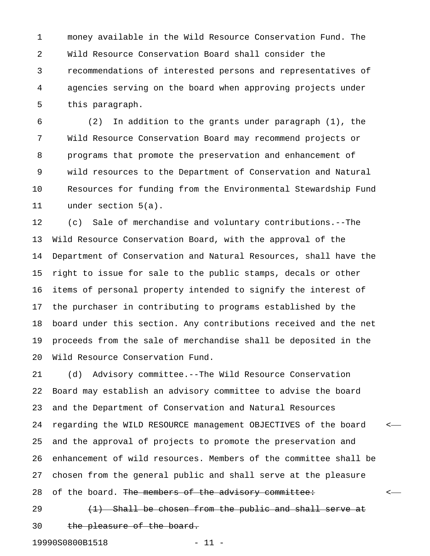1 money available in the Wild Resource Conservation Fund. The 2 Wild Resource Conservation Board shall consider the 3 recommendations of interested persons and representatives of 4 agencies serving on the board when approving projects under 5 this paragraph.

6 (2) In addition to the grants under paragraph (1), the 7 Wild Resource Conservation Board may recommend projects or 8 programs that promote the preservation and enhancement of 9 wild resources to the Department of Conservation and Natural 10 Resources for funding from the Environmental Stewardship Fund 11 under section 5(a).

12 (c) Sale of merchandise and voluntary contributions.--The 13 Wild Resource Conservation Board, with the approval of the 14 Department of Conservation and Natural Resources, shall have the 15 right to issue for sale to the public stamps, decals or other 16 items of personal property intended to signify the interest of 17 the purchaser in contributing to programs established by the 18 board under this section. Any contributions received and the net 19 proceeds from the sale of merchandise shall be deposited in the 20 Wild Resource Conservation Fund.

21 (d) Advisory committee.--The Wild Resource Conservation 22 Board may establish an advisory committee to advise the board 23 and the Department of Conservation and Natural Resources 24 regarding the WILD RESOURCE management OBJECTIVES of the board < 25 and the approval of projects to promote the preservation and 26 enhancement of wild resources. Members of the committee shall be 27 chosen from the general public and shall serve at the pleasure 28 of the board. The members of the advisory committee:  $\leftarrow$ 

29  $(1)$  Shall be chosen from the public and shall serve at 30 the pleasure of the board.

19990S0800B1518 - 11 -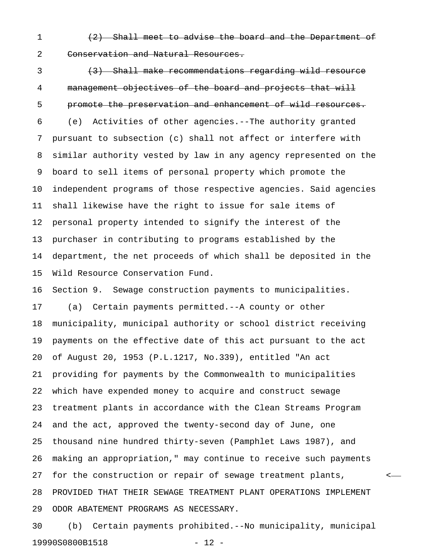1 (2) Shall meet to advise the board and the Department of 2 Conservation and Natural Resources.

3 (3) Shall make recommendations regarding wild resource 4 management objectives of the board and projects that will 5 promote the preservation and enhancement of wild resources. 6 (e) Activities of other agencies.--The authority granted 7 pursuant to subsection (c) shall not affect or interfere with 8 similar authority vested by law in any agency represented on the 9 board to sell items of personal property which promote the 10 independent programs of those respective agencies. Said agencies 11 shall likewise have the right to issue for sale items of 12 personal property intended to signify the interest of the 13 purchaser in contributing to programs established by the 14 department, the net proceeds of which shall be deposited in the 15 Wild Resource Conservation Fund. 16 Section 9. Sewage construction payments to municipalities. 17 (a) Certain payments permitted.--A county or other 18 municipality, municipal authority or school district receiving 19 payments on the effective date of this act pursuant to the act 20 of August 20, 1953 (P.L.1217, No.339), entitled "An act 21 providing for payments by the Commonwealth to municipalities 22 which have expended money to acquire and construct sewage 23 treatment plants in accordance with the Clean Streams Program 24 and the act, approved the twenty-second day of June, one 25 thousand nine hundred thirty-seven (Pamphlet Laws 1987), and 26 making an appropriation," may continue to receive such payments 27 for the construction or repair of sewage treatment plants, < 28 PROVIDED THAT THEIR SEWAGE TREATMENT PLANT OPERATIONS IMPLEMENT 29 ODOR ABATEMENT PROGRAMS AS NECESSARY.

30 (b) Certain payments prohibited.--No municipality, municipal 19990S0800B1518 - 12 -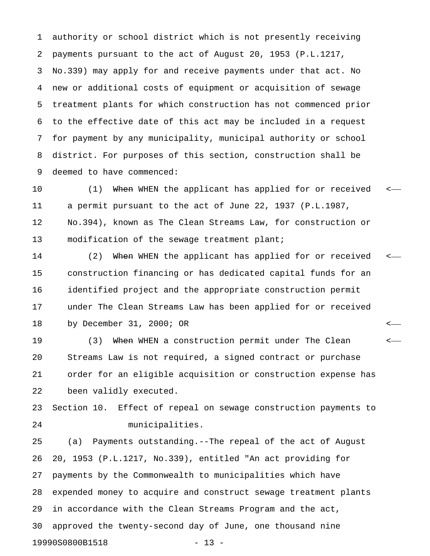1 authority or school district which is not presently receiving 2 payments pursuant to the act of August 20, 1953 (P.L.1217, 3 No.339) may apply for and receive payments under that act. No 4 new or additional costs of equipment or acquisition of sewage 5 treatment plants for which construction has not commenced prior 6 to the effective date of this act may be included in a request 7 for payment by any municipality, municipal authority or school 8 district. For purposes of this section, construction shall be 9 deemed to have commenced:

10 (1) When WHEN the applicant has applied for or received <-11 a permit pursuant to the act of June 22, 1937 (P.L.1987, 12 No.394), known as The Clean Streams Law, for construction or 13 modification of the sewage treatment plant;

14 (2) When WHEN the applicant has applied for or received <-15 construction financing or has dedicated capital funds for an 16 identified project and the appropriate construction permit 17 under The Clean Streams Law has been applied for or received 18 by December 31, 2000; OR <

19 (3) When WHEN a construction permit under The Clean  $\leftarrow$ 20 Streams Law is not required, a signed contract or purchase 21 order for an eligible acquisition or construction expense has 22 been validly executed.

23 Section 10. Effect of repeal on sewage construction payments to 24 municipalities.

25 (a) Payments outstanding.--The repeal of the act of August 26 20, 1953 (P.L.1217, No.339), entitled "An act providing for 27 payments by the Commonwealth to municipalities which have 28 expended money to acquire and construct sewage treatment plants 29 in accordance with the Clean Streams Program and the act, 30 approved the twenty-second day of June, one thousand nine 19990S0800B1518 - 13 -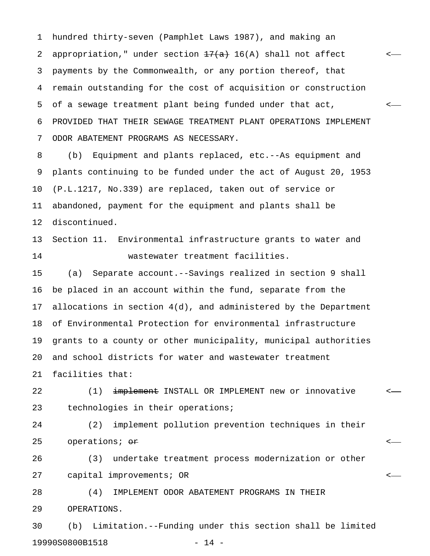1 hundred thirty-seven (Pamphlet Laws 1987), and making an 2 appropriation," under section  $\frac{17(a)}{a}$  16(A) shall not affect <-3 payments by the Commonwealth, or any portion thereof, that 4 remain outstanding for the cost of acquisition or construction 5 of a sewage treatment plant being funded under that act, < 6 PROVIDED THAT THEIR SEWAGE TREATMENT PLANT OPERATIONS IMPLEMENT 7 ODOR ABATEMENT PROGRAMS AS NECESSARY.

8 (b) Equipment and plants replaced, etc.--As equipment and 9 plants continuing to be funded under the act of August 20, 1953 10 (P.L.1217, No.339) are replaced, taken out of service or 11 abandoned, payment for the equipment and plants shall be 12 discontinued.

13 Section 11. Environmental infrastructure grants to water and 14 wastewater treatment facilities.

15 (a) Separate account.--Savings realized in section 9 shall 16 be placed in an account within the fund, separate from the 17 allocations in section 4(d), and administered by the Department 18 of Environmental Protection for environmental infrastructure 19 grants to a county or other municipality, municipal authorities 20 and school districts for water and wastewater treatment 21 facilities that:

22 (1)  $\frac{1}{2}$  implement INSTALL OR IMPLEMENT new or innovative <-23 technologies in their operations;

24 (2) implement pollution prevention techniques in their 25 operations; or <

26 (3) undertake treatment process modernization or other 27 capital improvements; OR <

28 (4) IMPLEMENT ODOR ABATEMENT PROGRAMS IN THEIR 29 OPERATIONS.

30 (b) Limitation.--Funding under this section shall be limited 19990S0800B1518 - 14 -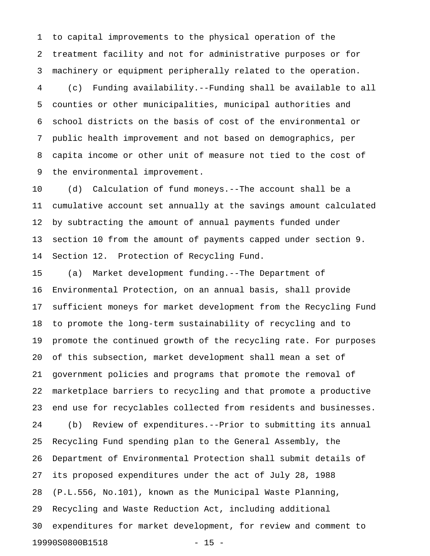1 to capital improvements to the physical operation of the 2 treatment facility and not for administrative purposes or for 3 machinery or equipment peripherally related to the operation. 4 (c) Funding availability.--Funding shall be available to all 5 counties or other municipalities, municipal authorities and 6 school districts on the basis of cost of the environmental or 7 public health improvement and not based on demographics, per 8 capita income or other unit of measure not tied to the cost of 9 the environmental improvement.

10 (d) Calculation of fund moneys.--The account shall be a 11 cumulative account set annually at the savings amount calculated 12 by subtracting the amount of annual payments funded under 13 section 10 from the amount of payments capped under section 9. 14 Section 12. Protection of Recycling Fund.

15 (a) Market development funding.--The Department of 16 Environmental Protection, on an annual basis, shall provide 17 sufficient moneys for market development from the Recycling Fund 18 to promote the long-term sustainability of recycling and to 19 promote the continued growth of the recycling rate. For purposes 20 of this subsection, market development shall mean a set of 21 government policies and programs that promote the removal of 22 marketplace barriers to recycling and that promote a productive 23 end use for recyclables collected from residents and businesses. 24 (b) Review of expenditures.--Prior to submitting its annual 25 Recycling Fund spending plan to the General Assembly, the 26 Department of Environmental Protection shall submit details of 27 its proposed expenditures under the act of July 28, 1988 28 (P.L.556, No.101), known as the Municipal Waste Planning, 29 Recycling and Waste Reduction Act, including additional 30 expenditures for market development, for review and comment to 19990S0800B1518 - 15 -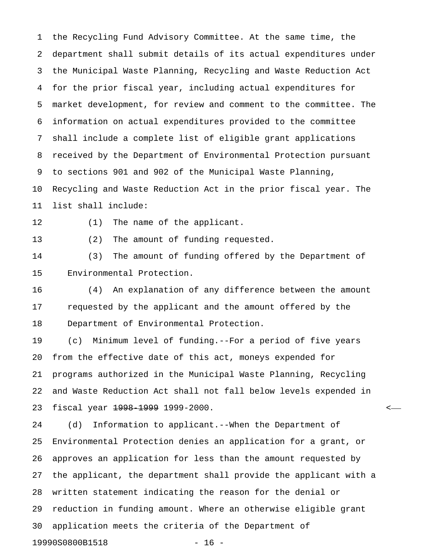1 the Recycling Fund Advisory Committee. At the same time, the 2 department shall submit details of its actual expenditures under 3 the Municipal Waste Planning, Recycling and Waste Reduction Act 4 for the prior fiscal year, including actual expenditures for 5 market development, for review and comment to the committee. The 6 information on actual expenditures provided to the committee 7 shall include a complete list of eligible grant applications 8 received by the Department of Environmental Protection pursuant 9 to sections 901 and 902 of the Municipal Waste Planning, 10 Recycling and Waste Reduction Act in the prior fiscal year. The 11 list shall include:

12 (1) The name of the applicant.

13 (2) The amount of funding requested.

14 (3) The amount of funding offered by the Department of 15 Environmental Protection.

16 (4) An explanation of any difference between the amount 17 requested by the applicant and the amount offered by the 18 Department of Environmental Protection.

19 (c) Minimum level of funding.--For a period of five years 20 from the effective date of this act, moneys expended for 21 programs authorized in the Municipal Waste Planning, Recycling 22 and Waste Reduction Act shall not fall below levels expended in 23 fiscal year 1998-1999 1999-2000. <

24 (d) Information to applicant.--When the Department of 25 Environmental Protection denies an application for a grant, or 26 approves an application for less than the amount requested by 27 the applicant, the department shall provide the applicant with a 28 written statement indicating the reason for the denial or 29 reduction in funding amount. Where an otherwise eligible grant 30 application meets the criteria of the Department of 19990S0800B1518 - 16 -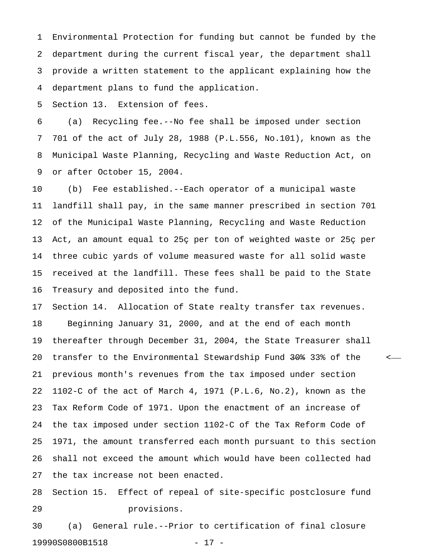1 Environmental Protection for funding but cannot be funded by the 2 department during the current fiscal year, the department shall 3 provide a written statement to the applicant explaining how the 4 department plans to fund the application.

5 Section 13. Extension of fees.

6 (a) Recycling fee.--No fee shall be imposed under section 7 701 of the act of July 28, 1988 (P.L.556, No.101), known as the 8 Municipal Waste Planning, Recycling and Waste Reduction Act, on 9 or after October 15, 2004.

10 (b) Fee established.--Each operator of a municipal waste 11 landfill shall pay, in the same manner prescribed in section 701 12 of the Municipal Waste Planning, Recycling and Waste Reduction 13 Act, an amount equal to 25ç per ton of weighted waste or 25ç per 14 three cubic yards of volume measured waste for all solid waste 15 received at the landfill. These fees shall be paid to the State 16 Treasury and deposited into the fund.

17 Section 14. Allocation of State realty transfer tax revenues. 18 Beginning January 31, 2000, and at the end of each month 19 thereafter through December 31, 2004, the State Treasurer shall 20 transfer to the Environmental Stewardship Fund 30% 33% of the  $\sim$ 21 previous month's revenues from the tax imposed under section 22 1102-C of the act of March 4, 1971 (P.L.6, No.2), known as the 23 Tax Reform Code of 1971. Upon the enactment of an increase of 24 the tax imposed under section 1102-C of the Tax Reform Code of 25 1971, the amount transferred each month pursuant to this section 26 shall not exceed the amount which would have been collected had 27 the tax increase not been enacted.

28 Section 15. Effect of repeal of site-specific postclosure fund 29 provisions.

30 (a) General rule.--Prior to certification of final closure 19990S0800B1518 - 17 -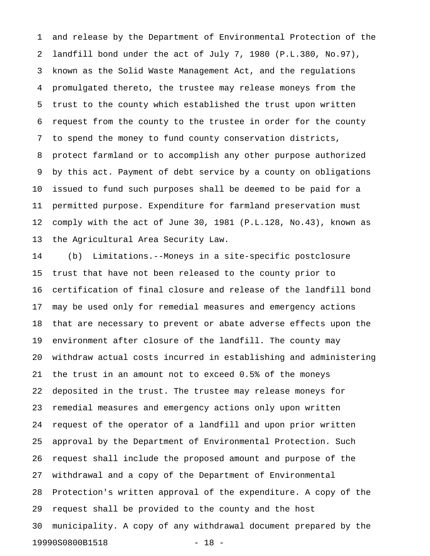1 and release by the Department of Environmental Protection of the 2 landfill bond under the act of July 7, 1980 (P.L.380, No.97), 3 known as the Solid Waste Management Act, and the regulations 4 promulgated thereto, the trustee may release moneys from the 5 trust to the county which established the trust upon written 6 request from the county to the trustee in order for the county 7 to spend the money to fund county conservation districts, 8 protect farmland or to accomplish any other purpose authorized 9 by this act. Payment of debt service by a county on obligations 10 issued to fund such purposes shall be deemed to be paid for a 11 permitted purpose. Expenditure for farmland preservation must 12 comply with the act of June 30, 1981 (P.L.128, No.43), known as 13 the Agricultural Area Security Law.

14 (b) Limitations.--Moneys in a site-specific postclosure 15 trust that have not been released to the county prior to 16 certification of final closure and release of the landfill bond 17 may be used only for remedial measures and emergency actions 18 that are necessary to prevent or abate adverse effects upon the 19 environment after closure of the landfill. The county may 20 withdraw actual costs incurred in establishing and administering 21 the trust in an amount not to exceed 0.5% of the moneys 22 deposited in the trust. The trustee may release moneys for 23 remedial measures and emergency actions only upon written 24 request of the operator of a landfill and upon prior written 25 approval by the Department of Environmental Protection. Such 26 request shall include the proposed amount and purpose of the 27 withdrawal and a copy of the Department of Environmental 28 Protection's written approval of the expenditure. A copy of the 29 request shall be provided to the county and the host 30 municipality. A copy of any withdrawal document prepared by the 19990S0800B1518 - 18 -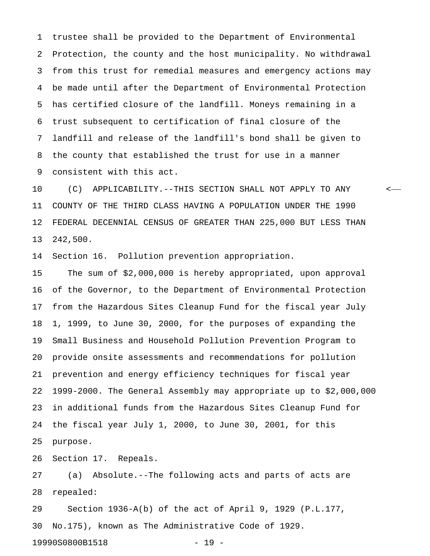1 trustee shall be provided to the Department of Environmental 2 Protection, the county and the host municipality. No withdrawal 3 from this trust for remedial measures and emergency actions may 4 be made until after the Department of Environmental Protection 5 has certified closure of the landfill. Moneys remaining in a 6 trust subsequent to certification of final closure of the 7 landfill and release of the landfill's bond shall be given to 8 the county that established the trust for use in a manner 9 consistent with this act.

10 (C) APPLICABILITY.--THIS SECTION SHALL NOT APPLY TO ANY < 11 COUNTY OF THE THIRD CLASS HAVING A POPULATION UNDER THE 1990 12 FEDERAL DECENNIAL CENSUS OF GREATER THAN 225,000 BUT LESS THAN 13 242,500.

14 Section 16. Pollution prevention appropriation.

15 The sum of \$2,000,000 is hereby appropriated, upon approval 16 of the Governor, to the Department of Environmental Protection 17 from the Hazardous Sites Cleanup Fund for the fiscal year July 18 1, 1999, to June 30, 2000, for the purposes of expanding the 19 Small Business and Household Pollution Prevention Program to 20 provide onsite assessments and recommendations for pollution 21 prevention and energy efficiency techniques for fiscal year 22 1999-2000. The General Assembly may appropriate up to \$2,000,000 23 in additional funds from the Hazardous Sites Cleanup Fund for 24 the fiscal year July 1, 2000, to June 30, 2001, for this 25 purpose.

26 Section 17. Repeals.

27 (a) Absolute.--The following acts and parts of acts are 28 repealed:

29 Section 1936-A(b) of the act of April 9, 1929 (P.L.177, 30 No.175), known as The Administrative Code of 1929.

19990S0800B1518 - 19 -